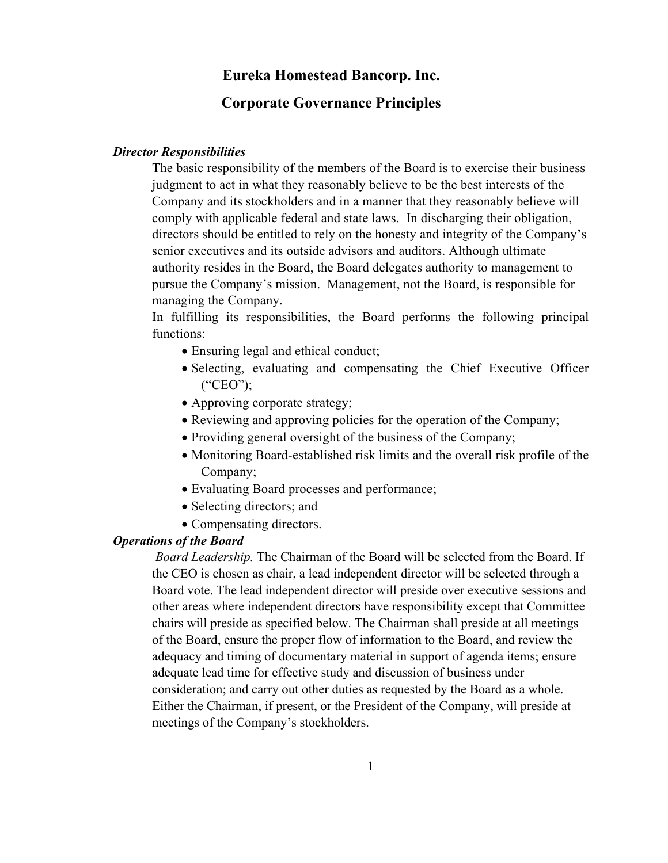# **Eureka Homestead Bancorp. Inc.**

# **Corporate Governance Principles**

### *Director Responsibilities*

The basic responsibility of the members of the Board is to exercise their business judgment to act in what they reasonably believe to be the best interests of the Company and its stockholders and in a manner that they reasonably believe will comply with applicable federal and state laws. In discharging their obligation, directors should be entitled to rely on the honesty and integrity of the Company's senior executives and its outside advisors and auditors. Although ultimate authority resides in the Board, the Board delegates authority to management to pursue the Company's mission. Management, not the Board, is responsible for managing the Company.

In fulfilling its responsibilities, the Board performs the following principal functions:

- Ensuring legal and ethical conduct;
- Selecting, evaluating and compensating the Chief Executive Officer ("CEO");
- Approving corporate strategy;
- Reviewing and approving policies for the operation of the Company;
- Providing general oversight of the business of the Company;
- Monitoring Board-established risk limits and the overall risk profile of the Company;
- Evaluating Board processes and performance;
- Selecting directors; and
- Compensating directors.

# *Operations of the Board*

*Board Leadership.* The Chairman of the Board will be selected from the Board. If the CEO is chosen as chair, a lead independent director will be selected through a Board vote. The lead independent director will preside over executive sessions and other areas where independent directors have responsibility except that Committee chairs will preside as specified below. The Chairman shall preside at all meetings of the Board, ensure the proper flow of information to the Board, and review the adequacy and timing of documentary material in support of agenda items; ensure adequate lead time for effective study and discussion of business under consideration; and carry out other duties as requested by the Board as a whole. Either the Chairman, if present, or the President of the Company, will preside at meetings of the Company's stockholders.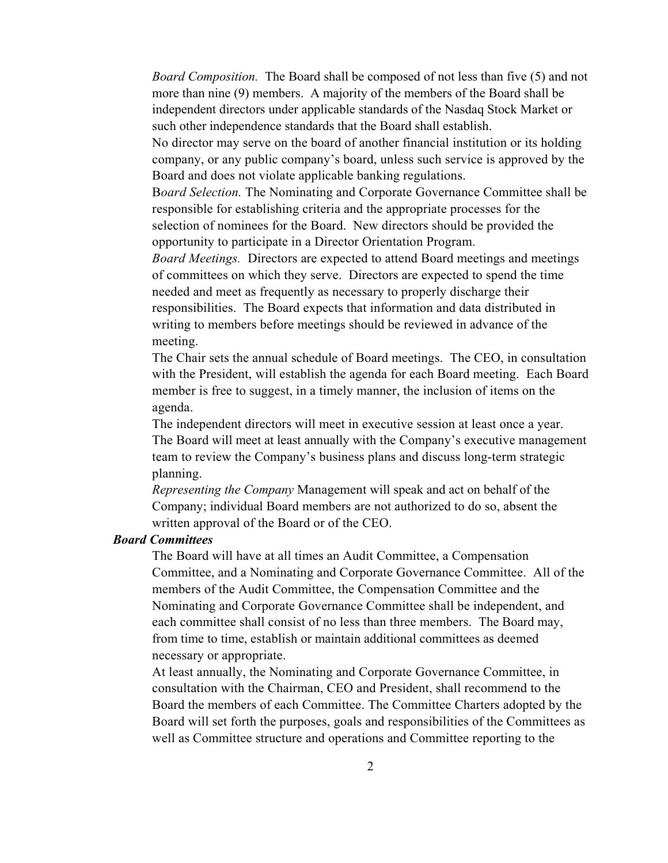*Board Composition.* The Board shall be composed of not less than five (5) and not more than nine (9) members. A majority of the members of the Board shall be independent directors under applicable standards of the Nasdaq Stock Market or such other independence standards that the Board shall establish.

No director may serve on the board of another financial institution or its holding company, or any public company's board, unless such service is approved by the Board and does not violate applicable banking regulations.

B*oard Selection.* The Nominating and Corporate Governance Committee shall be responsible for establishing criteria and the appropriate processes for the selection of nominees for the Board. New directors should be provided the opportunity to participate in a Director Orientation Program.

*Board Meetings.* Directors are expected to attend Board meetings and meetings of committees on which they serve. Directors are expected to spend the time needed and meet as frequently as necessary to properly discharge their responsibilities. The Board expects that information and data distributed in writing to members before meetings should be reviewed in advance of the meeting.

The Chair sets the annual schedule of Board meetings. The CEO, in consultation with the President, will establish the agenda for each Board meeting. Each Board member is free to suggest, in a timely manner, the inclusion of items on the agenda.

The independent directors will meet in executive session at least once a year. The Board will meet at least annually with the Company's executive management team to review the Company's business plans and discuss long-term strategic planning.

*Representing the Company* Management will speak and act on behalf of the Company; individual Board members are not authorized to do so, absent the written approval of the Board or of the CEO.

### *Board Committees*

The Board will have at all times an Audit Committee, a Compensation Committee, and a Nominating and Corporate Governance Committee. All of the members of the Audit Committee, the Compensation Committee and the Nominating and Corporate Governance Committee shall be independent, and each committee shall consist of no less than three members. The Board may, from time to time, establish or maintain additional committees as deemed necessary or appropriate.

At least annually, the Nominating and Corporate Governance Committee, in consultation with the Chairman, CEO and President, shall recommend to the Board the members of each Committee. The Committee Charters adopted by the Board will set forth the purposes, goals and responsibilities of the Committees as well as Committee structure and operations and Committee reporting to the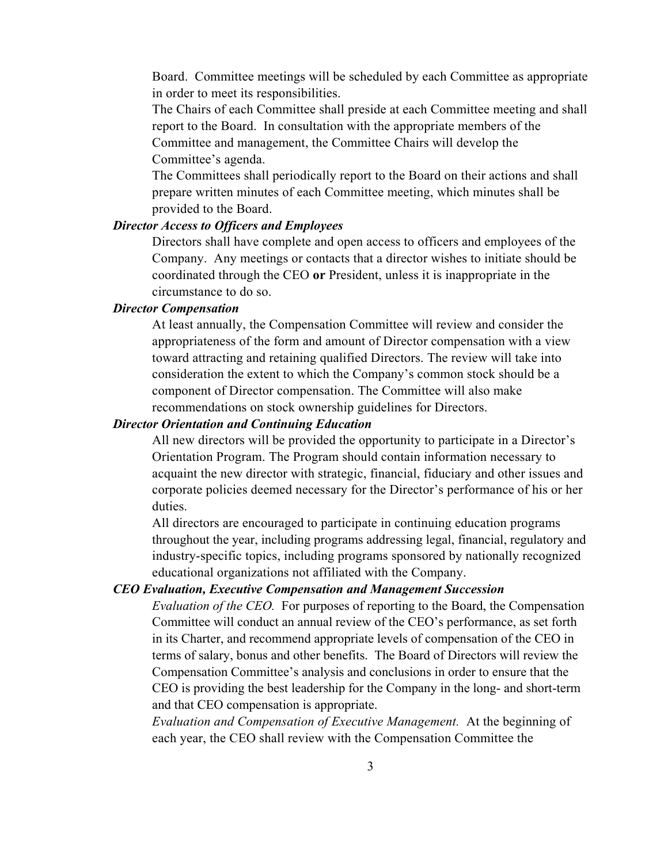Board. Committee meetings will be scheduled by each Committee as appropriate in order to meet its responsibilities.

The Chairs of each Committee shall preside at each Committee meeting and shall report to the Board. In consultation with the appropriate members of the Committee and management, the Committee Chairs will develop the Committee's agenda.

The Committees shall periodically report to the Board on their actions and shall prepare written minutes of each Committee meeting, which minutes shall be provided to the Board.

#### *Director Access to Officers and Employees*

Directors shall have complete and open access to officers and employees of the Company. Any meetings or contacts that a director wishes to initiate should be coordinated through the CEO **or** President, unless it is inappropriate in the circumstance to do so.

#### *Director Compensation*

At least annually, the Compensation Committee will review and consider the appropriateness of the form and amount of Director compensation with a view toward attracting and retaining qualified Directors. The review will take into consideration the extent to which the Company's common stock should be a component of Director compensation. The Committee will also make recommendations on stock ownership guidelines for Directors.

#### *Director Orientation and Continuing Education*

All new directors will be provided the opportunity to participate in a Director's Orientation Program. The Program should contain information necessary to acquaint the new director with strategic, financial, fiduciary and other issues and corporate policies deemed necessary for the Director's performance of his or her duties.

All directors are encouraged to participate in continuing education programs throughout the year, including programs addressing legal, financial, regulatory and industry-specific topics, including programs sponsored by nationally recognized educational organizations not affiliated with the Company.

# *CEO Evaluation, Executive Compensation and Management Succession*

*Evaluation of the CEO.* For purposes of reporting to the Board, the Compensation Committee will conduct an annual review of the CEO's performance, as set forth in its Charter, and recommend appropriate levels of compensation of the CEO in terms of salary, bonus and other benefits. The Board of Directors will review the Compensation Committee's analysis and conclusions in order to ensure that the CEO is providing the best leadership for the Company in the long- and short-term and that CEO compensation is appropriate.

*Evaluation and Compensation of Executive Management.* At the beginning of each year, the CEO shall review with the Compensation Committee the